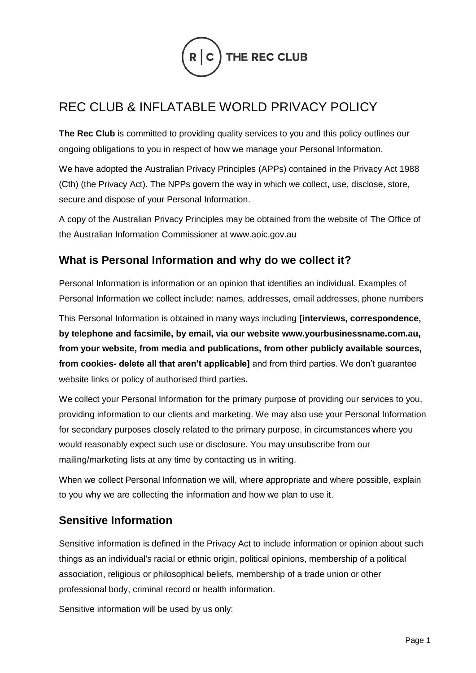

# REC CLUB & INFLATABLE WORLD PRIVACY POLICY

The Rec Club is committed to providing quality services to you and this policy outlines our ongoing obligations to you in respect of how we manage your Personal Information.

We have adopted the Australian Privacy Principles (APPs) contained in the Privacy Act 1988 (Cth) (the Privacy Act). The NPPs govern the way in which we collect, use, disclose, store, secure and dispose of your Personal Information.

A copy of the Australian Privacy Principles may be obtained from the website of The Office of the Australian Information Commissioner at www.aoic.gov.au

### **What is Personal Information and why do we collect it?**

Personal Information is information or an opinion that identifies an individual. Examples of Personal Information we collect include: names, addresses, email addresses, phone numbers

This Personal Information is obtained in many ways including **[interviews, correspondence, by telephone and facsimile, by email, via our website www.yourbusinessname.com.au, from your website, from media and publications, from other publicly available sources, from cookies- delete all that aren't applicable]** and from third parties. We don't guarantee website links or policy of authorised third parties.

We collect your Personal Information for the primary purpose of providing our services to you, providing information to our clients and marketing. We may also use your Personal Information for secondary purposes closely related to the primary purpose, in circumstances where you would reasonably expect such use or disclosure. You may unsubscribe from our mailing/marketing lists at any time by contacting us in writing.

When we collect Personal Information we will, where appropriate and where possible, explain to you why we are collecting the information and how we plan to use it.

#### **Sensitive Information**

Sensitive information is defined in the Privacy Act to include information or opinion about such things as an individual's racial or ethnic origin, political opinions, membership of a political association, religious or philosophical beliefs, membership of a trade union or other professional body, criminal record or health information.

Sensitive information will be used by us only: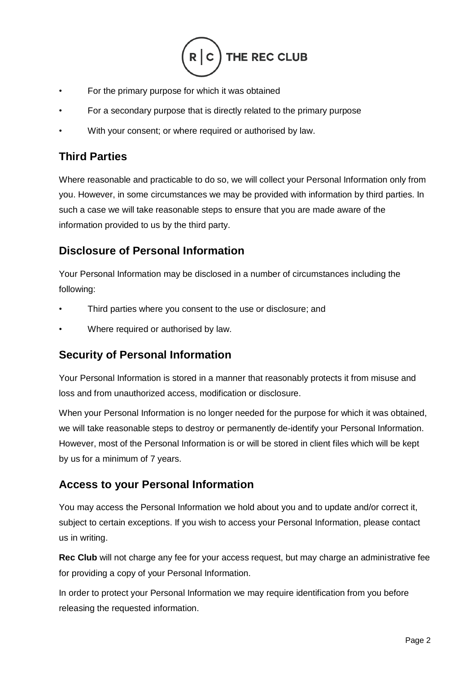

- For the primary purpose for which it was obtained
- For a secondary purpose that is directly related to the primary purpose
- With your consent; or where required or authorised by law.

#### **Third Parties**

Where reasonable and practicable to do so, we will collect your Personal Information only from you. However, in some circumstances we may be provided with information by third parties. In such a case we will take reasonable steps to ensure that you are made aware of the information provided to us by the third party.

### **Disclosure of Personal Information**

Your Personal Information may be disclosed in a number of circumstances including the following:

- Third parties where you consent to the use or disclosure; and
- Where required or authorised by law.

# **Security of Personal Information**

Your Personal Information is stored in a manner that reasonably protects it from misuse and loss and from unauthorized access, modification or disclosure.

When your Personal Information is no longer needed for the purpose for which it was obtained, we will take reasonable steps to destroy or permanently de-identify your Personal Information. However, most of the Personal Information is or will be stored in client files which will be kept by us for a minimum of 7 years.

# **Access to your Personal Information**

You may access the Personal Information we hold about you and to update and/or correct it, subject to certain exceptions. If you wish to access your Personal Information, please contact us in writing.

**Rec Club** will not charge any fee for your access request, but may charge an administrative fee for providing a copy of your Personal Information.

In order to protect your Personal Information we may require identification from you before releasing the requested information.